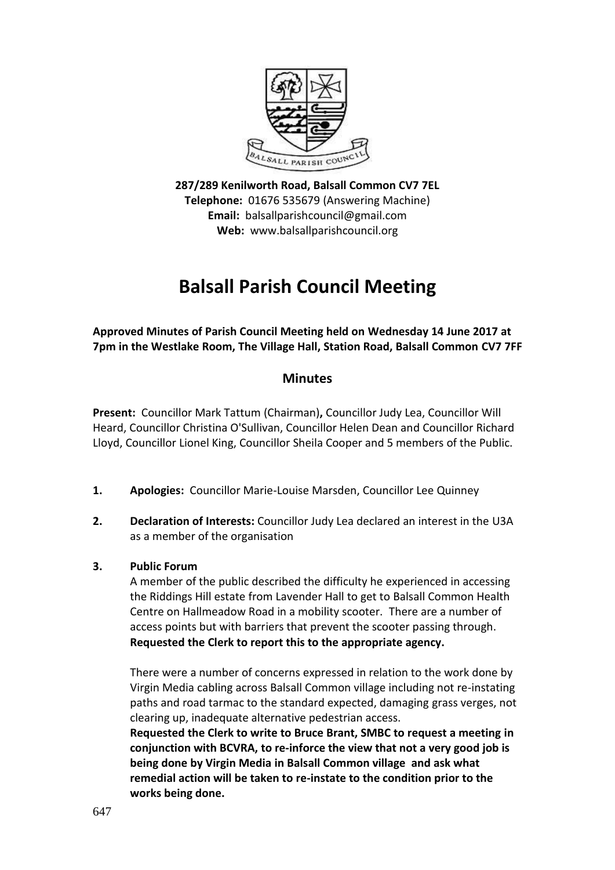

**287/289 Kenilworth Road, Balsall Common CV7 7EL Telephone:** 01676 535679 (Answering Machine) **Email:** balsallparishcouncil@gmail.com **Web:** www.balsallparishcouncil.org

# **Balsall Parish Council Meeting**

**Approved Minutes of Parish Council Meeting held on Wednesday 14 June 2017 at 7pm in the Westlake Room, The Village Hall, Station Road, Balsall Common CV7 7FF**

# **Minutes**

**Present:** Councillor Mark Tattum (Chairman)**,** Councillor Judy Lea, Councillor Will Heard, Councillor Christina O'Sullivan, Councillor Helen Dean and Councillor Richard Lloyd, Councillor Lionel King, Councillor Sheila Cooper and 5 members of the Public.

- **1. Apologies:** Councillor Marie-Louise Marsden, Councillor Lee Quinney
- **2. Declaration of Interests:** Councillor Judy Lea declared an interest in the U3A as a member of the organisation

# **3. Public Forum**

A member of the public described the difficulty he experienced in accessing the Riddings Hill estate from Lavender Hall to get to Balsall Common Health Centre on Hallmeadow Road in a mobility scooter. There are a number of access points but with barriers that prevent the scooter passing through. **Requested the Clerk to report this to the appropriate agency.**

There were a number of concerns expressed in relation to the work done by Virgin Media cabling across Balsall Common village including not re-instating paths and road tarmac to the standard expected, damaging grass verges, not clearing up, inadequate alternative pedestrian access.

**Requested the Clerk to write to Bruce Brant, SMBC to request a meeting in conjunction with BCVRA, to re-inforce the view that not a very good job is being done by Virgin Media in Balsall Common village and ask what remedial action will be taken to re-instate to the condition prior to the works being done.**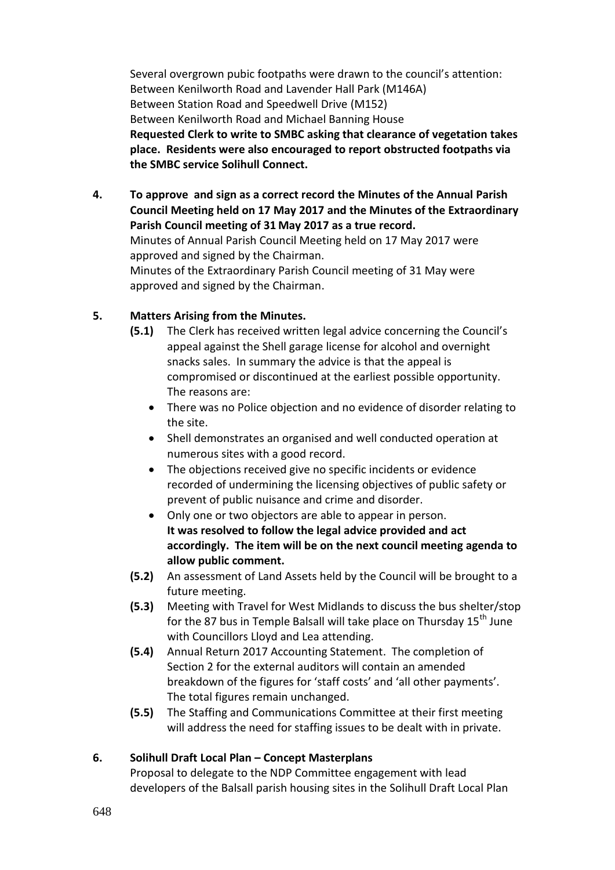Several overgrown pubic footpaths were drawn to the council's attention: Between Kenilworth Road and Lavender Hall Park (M146A) Between Station Road and Speedwell Drive (M152) Between Kenilworth Road and Michael Banning House **Requested Clerk to write to SMBC asking that clearance of vegetation takes place. Residents were also encouraged to report obstructed footpaths via the SMBC service Solihull Connect.**

**4. To approve and sign as a correct record the Minutes of the Annual Parish Council Meeting held on 17 May 2017 and the Minutes of the Extraordinary Parish Council meeting of 31 May 2017 as a true record.** Minutes of Annual Parish Council Meeting held on 17 May 2017 were approved and signed by the Chairman.

Minutes of the Extraordinary Parish Council meeting of 31 May were approved and signed by the Chairman.

# **5. Matters Arising from the Minutes.**

- **(5.1)** The Clerk has received written legal advice concerning the Council's appeal against the Shell garage license for alcohol and overnight snacks sales. In summary the advice is that the appeal is compromised or discontinued at the earliest possible opportunity. The reasons are:
	- There was no Police objection and no evidence of disorder relating to the site.
	- Shell demonstrates an organised and well conducted operation at numerous sites with a good record.
	- The objections received give no specific incidents or evidence recorded of undermining the licensing objectives of public safety or prevent of public nuisance and crime and disorder.
	- Only one or two objectors are able to appear in person. **It was resolved to follow the legal advice provided and act accordingly. The item will be on the next council meeting agenda to allow public comment.**
- **(5.2)** An assessment of Land Assets held by the Council will be brought to a future meeting.
- **(5.3)** Meeting with Travel for West Midlands to discuss the bus shelter/stop for the 87 bus in Temple Balsall will take place on Thursday  $15<sup>th</sup>$  June with Councillors Lloyd and Lea attending.
- **(5.4)** Annual Return 2017 Accounting Statement. The completion of Section 2 for the external auditors will contain an amended breakdown of the figures for 'staff costs' and 'all other payments'. The total figures remain unchanged.
- **(5.5)** The Staffing and Communications Committee at their first meeting will address the need for staffing issues to be dealt with in private.

# **6. Solihull Draft Local Plan – Concept Masterplans**

Proposal to delegate to the NDP Committee engagement with lead developers of the Balsall parish housing sites in the Solihull Draft Local Plan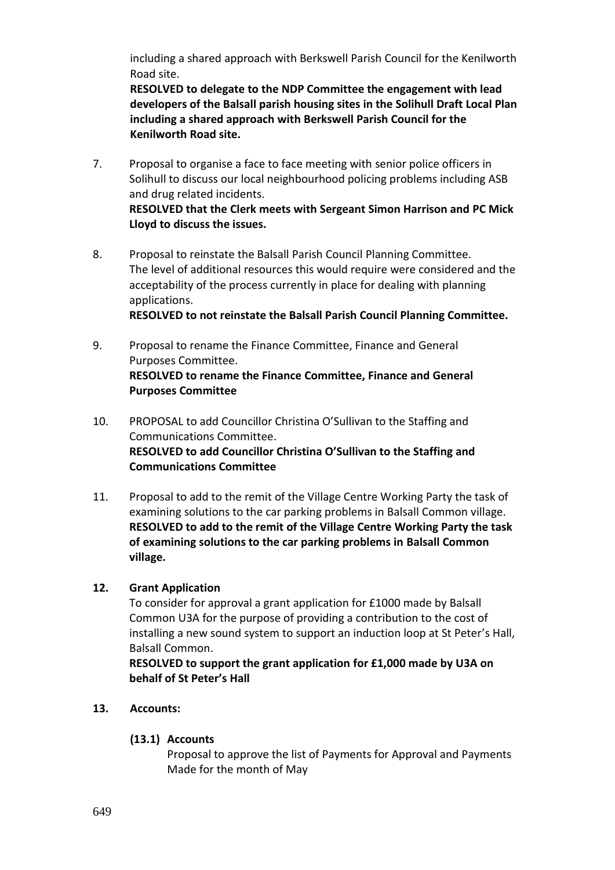including a shared approach with Berkswell Parish Council for the Kenilworth Road site.

**RESOLVED to delegate to the NDP Committee the engagement with lead developers of the Balsall parish housing sites in the Solihull Draft Local Plan including a shared approach with Berkswell Parish Council for the Kenilworth Road site.**

- 7. Proposal to organise a face to face meeting with senior police officers in Solihull to discuss our local neighbourhood policing problems including ASB and drug related incidents. **RESOLVED that the Clerk meets with Sergeant Simon Harrison and PC Mick Lloyd to discuss the issues.**
- 8. Proposal to reinstate the Balsall Parish Council Planning Committee. The level of additional resources this would require were considered and the acceptability of the process currently in place for dealing with planning applications.

**RESOLVED to not reinstate the Balsall Parish Council Planning Committee.**

- 9. Proposal to rename the Finance Committee, Finance and General Purposes Committee. **RESOLVED to rename the Finance Committee, Finance and General Purposes Committee**
- 10. PROPOSAL to add Councillor Christina O'Sullivan to the Staffing and Communications Committee. **RESOLVED to add Councillor Christina O'Sullivan to the Staffing and Communications Committee**
- 11. Proposal to add to the remit of the Village Centre Working Party the task of examining solutions to the car parking problems in Balsall Common village. **RESOLVED to add to the remit of the Village Centre Working Party the task of examining solutions to the car parking problems in Balsall Common village.**

# **12. Grant Application**

To consider for approval a grant application for £1000 made by Balsall Common U3A for the purpose of providing a contribution to the cost of installing a new sound system to support an induction loop at St Peter's Hall, Balsall Common.

**RESOLVED to support the grant application for £1,000 made by U3A on behalf of St Peter's Hall**

#### **13. Accounts:**

# **(13.1) Accounts**

Proposal to approve the list of Payments for Approval and Payments Made for the month of May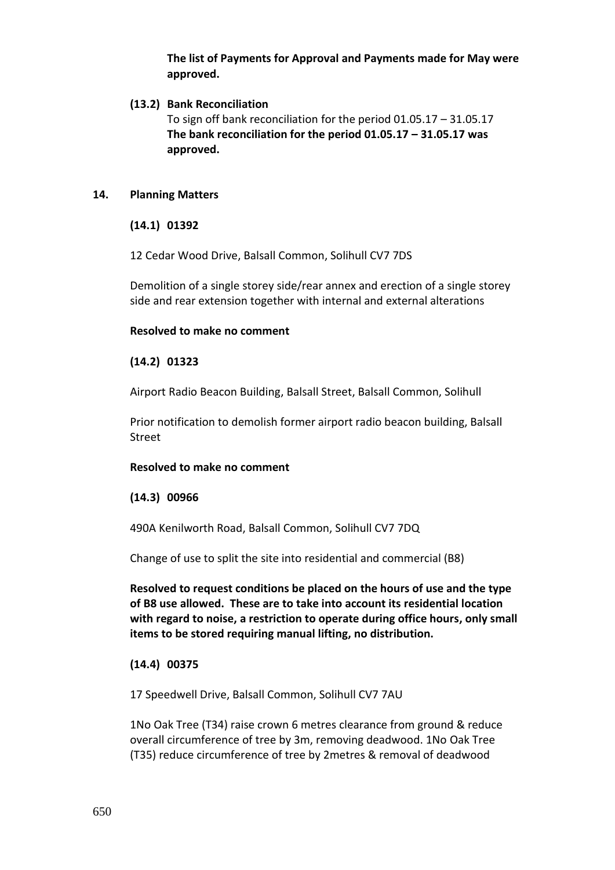**The list of Payments for Approval and Payments made for May were approved.**

#### **(13.2) Bank Reconciliation**

To sign off bank reconciliation for the period 01.05.17 – 31.05.17 **The bank reconciliation for the period 01.05.17 – 31.05.17 was approved.**

#### **14. Planning Matters**

**(14.1) 01392**

12 Cedar Wood Drive, Balsall Common, Solihull CV7 7DS

Demolition of a single storey side/rear annex and erection of a single storey side and rear extension together with internal and external alterations

#### **Resolved to make no comment**

### **(14.2) 01323**

Airport Radio Beacon Building, Balsall Street, Balsall Common, Solihull

[Prior notification to demolish former airport radio beacon building, Balsall](https://publicaccess.solihull.gov.uk/online-applications/applicationDetails.do?activeTab=summary&keyVal=OQCI8OOE01100&prevPage=inTray)  [Street](https://publicaccess.solihull.gov.uk/online-applications/applicationDetails.do?activeTab=summary&keyVal=OQCI8OOE01100&prevPage=inTray)

#### **Resolved to make no comment**

#### **(14.3) 00966**

490A Kenilworth Road, Balsall Common, Solihull CV7 7DQ

[Change of use to split the site into residential and commercial \(B8\)](https://publicaccess.solihull.gov.uk/online-applications/applicationDetails.do?activeTab=summary&keyVal=OOCMVMOEK1M00&prevPage=inTray)

**Resolved to request conditions be placed on the hours of use and the type of B8 use allowed. These are to take into account its residential location with regard to noise, a restriction to operate during office hours, only small items to be stored requiring manual lifting, no distribution.**

#### **(14.4) 00375**

17 Speedwell Drive, Balsall Common, Solihull CV7 7AU

[1No Oak Tree \(T34\) raise crown 6 metres clearance from ground & reduce](https://publicaccess.solihull.gov.uk/online-applications/applicationDetails.do?activeTab=summary&keyVal=OLCZQZOE04M00&prevPage=inTray)  [overall circumference of tree by 3m, removing deadwood. 1No](https://publicaccess.solihull.gov.uk/online-applications/applicationDetails.do?activeTab=summary&keyVal=OLCZQZOE04M00&prevPage=inTray) Oak Tree [\(T35\) reduce circumference of tree by 2metres & removal of deadwood](https://publicaccess.solihull.gov.uk/online-applications/applicationDetails.do?activeTab=summary&keyVal=OLCZQZOE04M00&prevPage=inTray)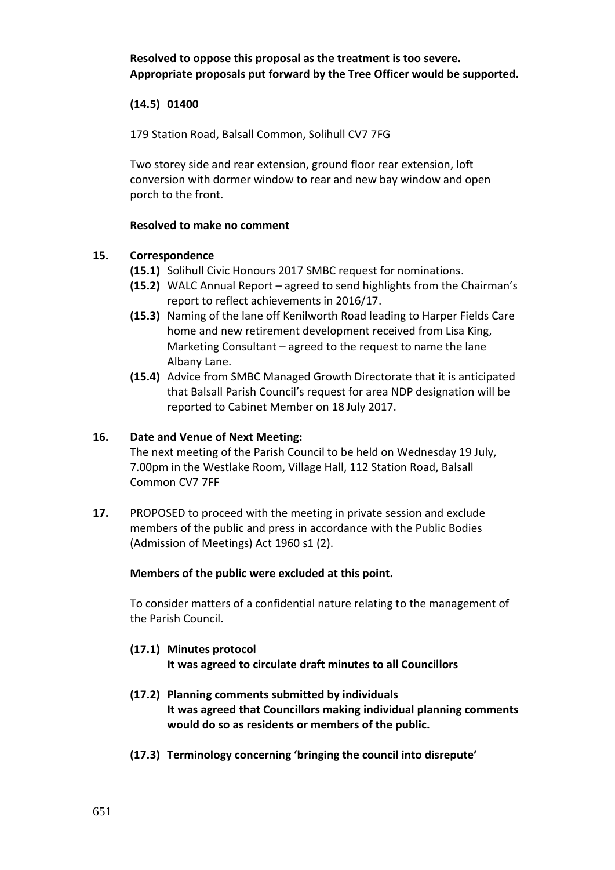**Resolved to oppose this proposal as the treatment is too severe. Appropriate proposals put forward by the Tree Officer would be supported.**

#### **(14.5) 01400**

179 Station Road, Balsall Common, Solihull CV7 7FG

[Two storey side and rear extension, ground floor rear extension, loft](https://publicaccess.solihull.gov.uk/online-applications/applicationDetails.do?activeTab=summary&keyVal=OQTAN2OE01R00&prevPage=inTray)  [conversion with dormer window to rear and new bay window and open](https://publicaccess.solihull.gov.uk/online-applications/applicationDetails.do?activeTab=summary&keyVal=OQTAN2OE01R00&prevPage=inTray)  [porch to the front.](https://publicaccess.solihull.gov.uk/online-applications/applicationDetails.do?activeTab=summary&keyVal=OQTAN2OE01R00&prevPage=inTray)

#### **Resolved to make no comment**

#### **15. Correspondence**

- **(15.1)** Solihull Civic Honours 2017 SMBC request for nominations.
- **(15.2)** WALC Annual Report agreed to send highlights from the Chairman's report to reflect achievements in 2016/17.
- **(15.3)** Naming of the lane off Kenilworth Road leading to Harper Fields Care home and new retirement development received from Lisa King, Marketing Consultant – agreed to the request to name the lane Albany Lane.
- **(15.4)** Advice from SMBC Managed Growth Directorate that it is anticipated that Balsall Parish Council's request for area NDP designation will be reported to Cabinet Member on 18 July 2017.

#### **16. Date and Venue of Next Meeting:**

The next meeting of the Parish Council to be held on Wednesday 19 July, 7.00pm in the Westlake Room, Village Hall, 112 Station Road, Balsall Common CV7 7FF

**17.** PROPOSED to proceed with the meeting in private session and exclude members of the public and press in accordance with the Public Bodies (Admission of Meetings) Act 1960 s1 (2).

#### **Members of the public were excluded at this point.**

To consider matters of a confidential nature relating to the management of the Parish Council.

- **(17.1) Minutes protocol It was agreed to circulate draft minutes to all Councillors**
- **(17.2) Planning comments submitted by individuals It was agreed that Councillors making individual planning comments would do so as residents or members of the public.**
- **(17.3) Terminology concerning 'bringing the council into disrepute'**